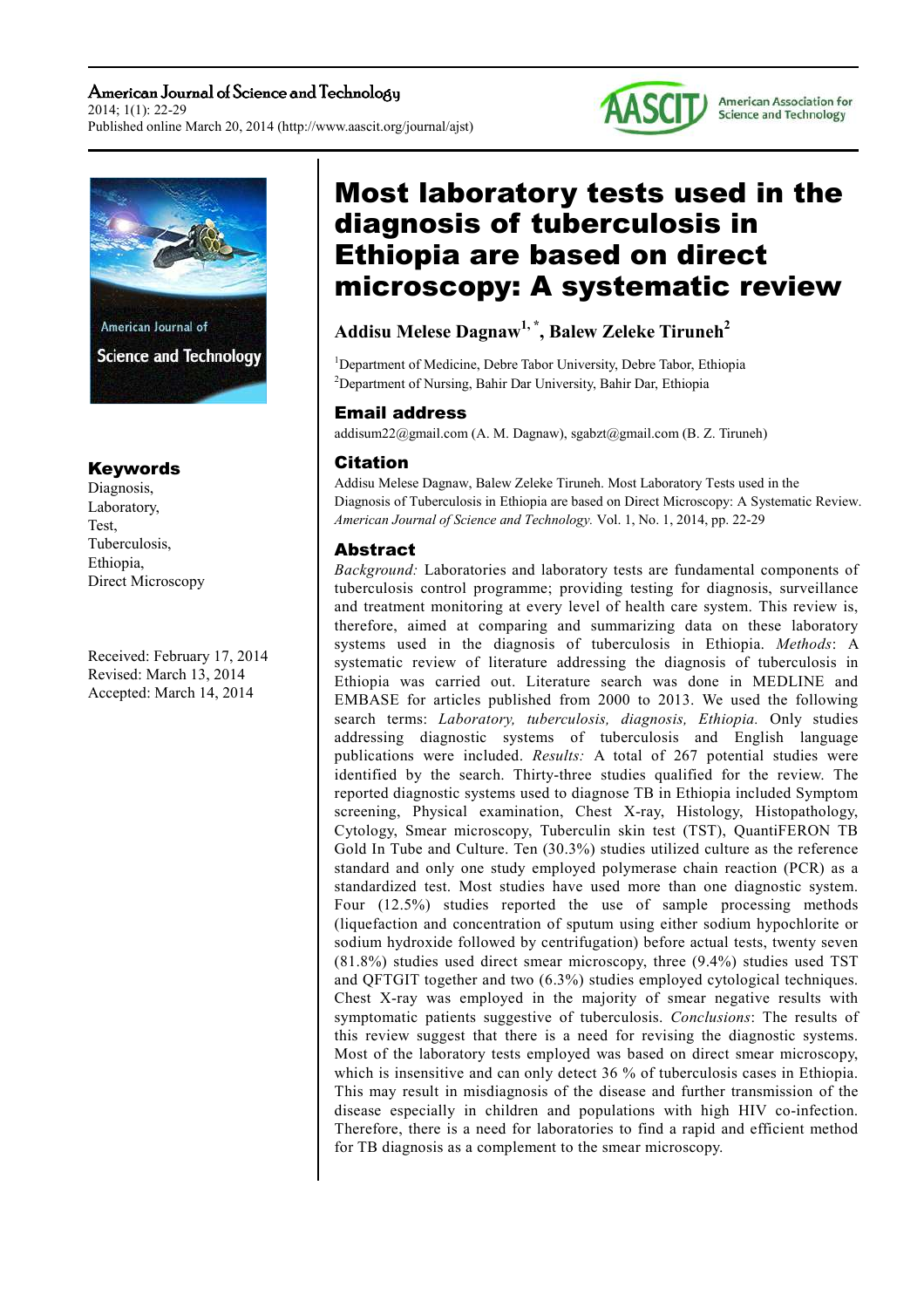American Journal of Science and Technology 2014; 1(1): 22-29 Published online March 20, 2014 (http://www.aascit.org/journal/ajst)





## Keywords

Diagnosis, Laboratory, Test, Tuberculosis, Ethiopia, Direct Microscopy

Received: February 17, 2014 Revised: March 13, 2014 Accepted: March 14, 2014

# Most laboratory tests used in the diagnosis of tuberculosis in Ethiopia are based on direct microscopy: A systematic review

# **Addisu Melese Dagnaw1, \*, Balew Zeleke Tiruneh<sup>2</sup>**

<sup>1</sup>Department of Medicine, Debre Tabor University, Debre Tabor, Ethiopia <sup>2</sup>Department of Nursing, Bahir Dar University, Bahir Dar, Ethiopia

#### Email address

addisum22@gmail.com (A. M. Dagnaw), sgabzt@gmail.com (B. Z. Tiruneh)

#### Citation

Addisu Melese Dagnaw, Balew Zeleke Tiruneh. Most Laboratory Tests used in the Diagnosis of Tuberculosis in Ethiopia are based on Direct Microscopy: A Systematic Review. *American Journal of Science and Technology.* Vol. 1, No. 1, 2014, pp. 22-29

#### Abstract

*Background:* Laboratories and laboratory tests are fundamental components of tuberculosis control programme; providing testing for diagnosis, surveillance and treatment monitoring at every level of health care system. This review is, therefore, aimed at comparing and summarizing data on these laboratory systems used in the diagnosis of tuberculosis in Ethiopia. *Methods*: A systematic review of literature addressing the diagnosis of tuberculosis in Ethiopia was carried out. Literature search was done in MEDLINE and EMBASE for articles published from 2000 to 2013. We used the following search terms: *Laboratory, tuberculosis, diagnosis, Ethiopia.* Only studies addressing diagnostic systems of tuberculosis and English language publications were included. *Results:* A total of 267 potential studies were identified by the search. Thirty-three studies qualified for the review. The reported diagnostic systems used to diagnose TB in Ethiopia included Symptom screening, Physical examination, Chest X-ray, Histology, Histopathology, Cytology, Smear microscopy, Tuberculin skin test (TST), QuantiFERON TB Gold In Tube and Culture. Ten (30.3%) studies utilized culture as the reference standard and only one study employed polymerase chain reaction (PCR) as a standardized test. Most studies have used more than one diagnostic system. Four (12.5%) studies reported the use of sample processing methods (liquefaction and concentration of sputum using either sodium hypochlorite or sodium hydroxide followed by centrifugation) before actual tests, twenty seven (81.8%) studies used direct smear microscopy, three (9.4%) studies used TST and QFTGIT together and two (6.3%) studies employed cytological techniques. Chest X-ray was employed in the majority of smear negative results with symptomatic patients suggestive of tuberculosis. *Conclusions*: The results of this review suggest that there is a need for revising the diagnostic systems. Most of the laboratory tests employed was based on direct smear microscopy, which is insensitive and can only detect 36 % of tuberculosis cases in Ethiopia. This may result in misdiagnosis of the disease and further transmission of the disease especially in children and populations with high HIV co-infection. Therefore, there is a need for laboratories to find a rapid and efficient method for TB diagnosis as a complement to the smear microscopy.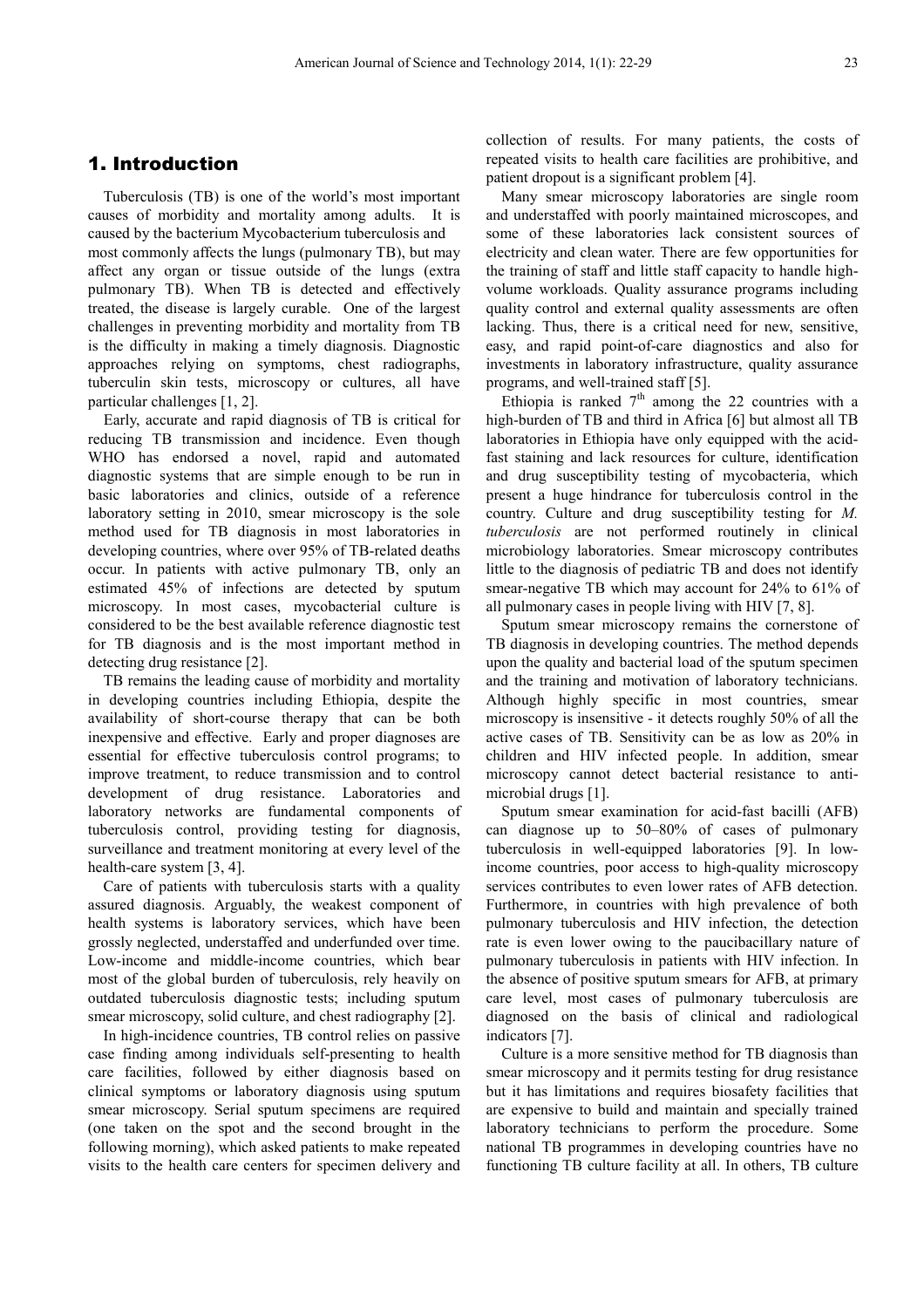## 1. Introduction

Tuberculosis (TB) is one of the world's most important causes of morbidity and mortality among adults. It is caused by the bacterium Mycobacterium tuberculosis and most commonly affects the lungs (pulmonary TB), but may affect any organ or tissue outside of the lungs (extra pulmonary TB). When TB is detected and effectively treated, the disease is largely curable. One of the largest challenges in preventing morbidity and mortality from TB is the difficulty in making a timely diagnosis. Diagnostic approaches relying on symptoms, chest radiographs, tuberculin skin tests, microscopy or cultures, all have particular challenges [1, 2].

 Early, accurate and rapid diagnosis of TB is critical for reducing TB transmission and incidence. Even though WHO has endorsed a novel, rapid and automated diagnostic systems that are simple enough to be run in basic laboratories and clinics, outside of a reference laboratory setting in 2010, smear microscopy is the sole method used for TB diagnosis in most laboratories in developing countries, where over 95% of TB-related deaths occur. In patients with active pulmonary TB, only an estimated 45% of infections are detected by sputum microscopy. In most cases, mycobacterial culture is considered to be the best available reference diagnostic test for TB diagnosis and is the most important method in detecting drug resistance [2].

TB remains the leading cause of morbidity and mortality in developing countries including Ethiopia, despite the availability of short-course therapy that can be both inexpensive and effective. Early and proper diagnoses are essential for effective tuberculosis control programs; to improve treatment, to reduce transmission and to control development of drug resistance. Laboratories and laboratory networks are fundamental components of tuberculosis control, providing testing for diagnosis, surveillance and treatment monitoring at every level of the health-care system [3, 4].

Care of patients with tuberculosis starts with a quality assured diagnosis. Arguably, the weakest component of health systems is laboratory services, which have been grossly neglected, understaffed and underfunded over time. Low-income and middle-income countries, which bear most of the global burden of tuberculosis, rely heavily on outdated tuberculosis diagnostic tests; including sputum smear microscopy, solid culture, and chest radiography [2].

In high-incidence countries, TB control relies on passive case finding among individuals self-presenting to health care facilities, followed by either diagnosis based on clinical symptoms or laboratory diagnosis using sputum smear microscopy. Serial sputum specimens are required (one taken on the spot and the second brought in the following morning), which asked patients to make repeated visits to the health care centers for specimen delivery and collection of results. For many patients, the costs of repeated visits to health care facilities are prohibitive, and patient dropout is a significant problem [4].

Many smear microscopy laboratories are single room and understaffed with poorly maintained microscopes, and some of these laboratories lack consistent sources of electricity and clean water. There are few opportunities for the training of staff and little staff capacity to handle highvolume workloads. Quality assurance programs including quality control and external quality assessments are often lacking. Thus, there is a critical need for new, sensitive, easy, and rapid point-of-care diagnostics and also for investments in laboratory infrastructure, quality assurance programs, and well-trained staff [5].

Ethiopia is ranked  $7<sup>th</sup>$  among the 22 countries with a high-burden of TB and third in Africa [6] but almost all TB laboratories in Ethiopia have only equipped with the acidfast staining and lack resources for culture, identification and drug susceptibility testing of mycobacteria, which present a huge hindrance for tuberculosis control in the country. Culture and drug susceptibility testing for *M. tuberculosis* are not performed routinely in clinical microbiology laboratories. Smear microscopy contributes little to the diagnosis of pediatric TB and does not identify smear-negative TB which may account for 24% to 61% of all pulmonary cases in people living with HIV [7, 8].

Sputum smear microscopy remains the cornerstone of TB diagnosis in developing countries. The method depends upon the quality and bacterial load of the sputum specimen and the training and motivation of laboratory technicians. Although highly specific in most countries, smear microscopy is insensitive - it detects roughly 50% of all the active cases of TB. Sensitivity can be as low as 20% in children and HIV infected people. In addition, smear microscopy cannot detect bacterial resistance to antimicrobial drugs [1].

Sputum smear examination for acid-fast bacilli (AFB) can diagnose up to 50–80% of cases of pulmonary tuberculosis in well-equipped laboratories [9]. In lowincome countries, poor access to high-quality microscopy services contributes to even lower rates of AFB detection. Furthermore, in countries with high prevalence of both pulmonary tuberculosis and HIV infection, the detection rate is even lower owing to the paucibacillary nature of pulmonary tuberculosis in patients with HIV infection. In the absence of positive sputum smears for AFB, at primary care level, most cases of pulmonary tuberculosis are diagnosed on the basis of clinical and radiological indicators [7].

Culture is a more sensitive method for TB diagnosis than smear microscopy and it permits testing for drug resistance but it has limitations and requires biosafety facilities that are expensive to build and maintain and specially trained laboratory technicians to perform the procedure. Some national TB programmes in developing countries have no functioning TB culture facility at all. In others, TB culture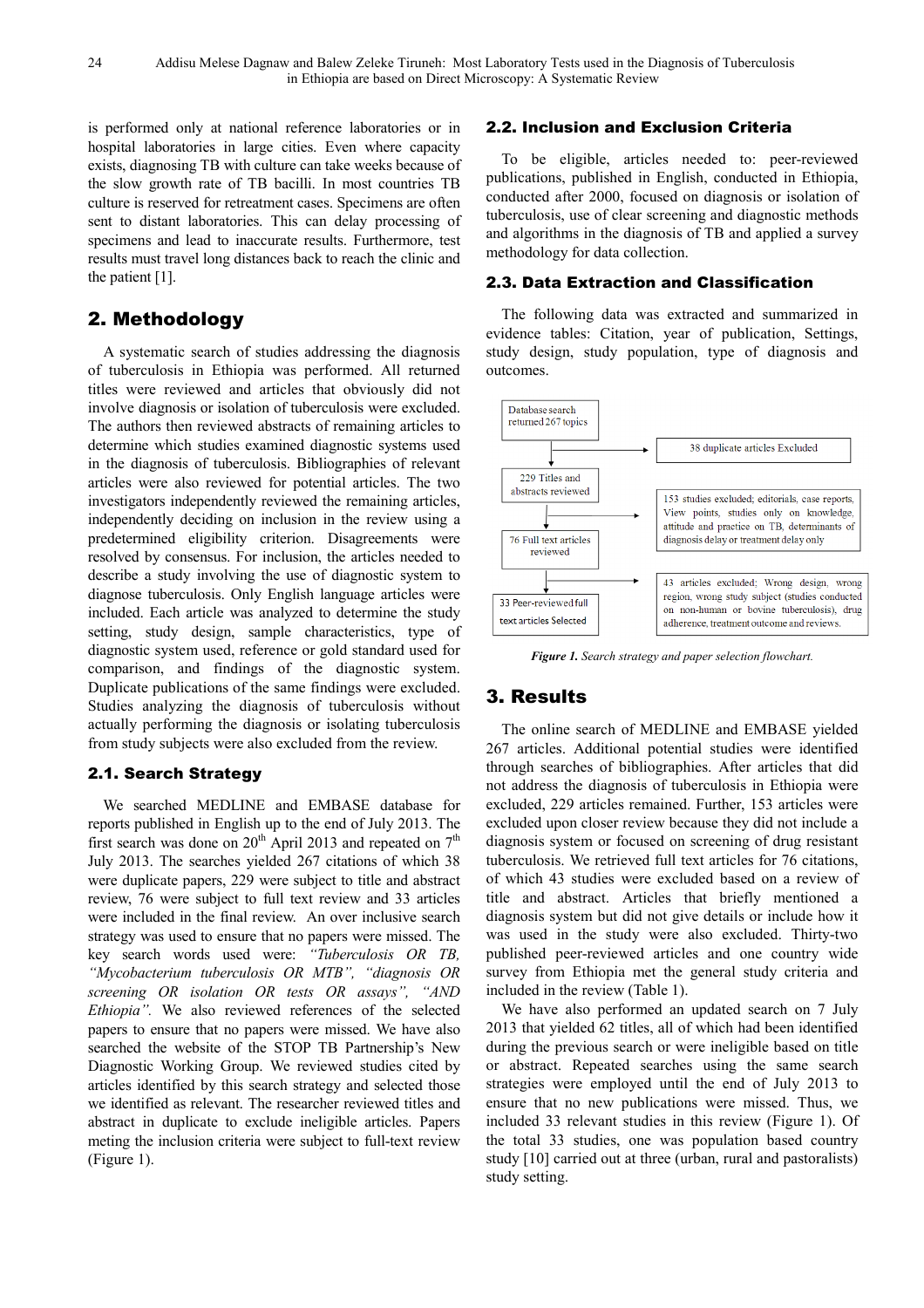is performed only at national reference laboratories or in hospital laboratories in large cities. Even where capacity exists, diagnosing TB with culture can take weeks because of the slow growth rate of TB bacilli. In most countries TB culture is reserved for retreatment cases. Specimens are often sent to distant laboratories. This can delay processing of specimens and lead to inaccurate results. Furthermore, test results must travel long distances back to reach the clinic and the patient [1].

## 2. Methodology

A systematic search of studies addressing the diagnosis of tuberculosis in Ethiopia was performed. All returned titles were reviewed and articles that obviously did not involve diagnosis or isolation of tuberculosis were excluded. The authors then reviewed abstracts of remaining articles to determine which studies examined diagnostic systems used in the diagnosis of tuberculosis. Bibliographies of relevant articles were also reviewed for potential articles. The two investigators independently reviewed the remaining articles, independently deciding on inclusion in the review using a predetermined eligibility criterion. Disagreements were resolved by consensus. For inclusion, the articles needed to describe a study involving the use of diagnostic system to diagnose tuberculosis. Only English language articles were included. Each article was analyzed to determine the study setting, study design, sample characteristics, type of diagnostic system used, reference or gold standard used for comparison, and findings of the diagnostic system. Duplicate publications of the same findings were excluded. Studies analyzing the diagnosis of tuberculosis without actually performing the diagnosis or isolating tuberculosis from study subjects were also excluded from the review.

## 2.1. Search Strategy

We searched MEDLINE and EMBASE database for reports published in English up to the end of July 2013. The first search was done on  $20^{th}$  April 2013 and repeated on  $7^{th}$ July 2013. The searches yielded 267 citations of which 38 were duplicate papers, 229 were subject to title and abstract review, 76 were subject to full text review and 33 articles were included in the final review. An over inclusive search strategy was used to ensure that no papers were missed. The key search words used were: *"Tuberculosis OR TB, "Mycobacterium tuberculosis OR MTB", "diagnosis OR screening OR isolation OR tests OR assays", "AND Ethiopia".* We also reviewed references of the selected papers to ensure that no papers were missed. We have also searched the website of the STOP TB Partnership's New Diagnostic Working Group. We reviewed studies cited by articles identified by this search strategy and selected those we identified as relevant. The researcher reviewed titles and abstract in duplicate to exclude ineligible articles. Papers meting the inclusion criteria were subject to full-text review (Figure 1).

#### 2.2. Inclusion and Exclusion Criteria

To be eligible, articles needed to: peer-reviewed publications, published in English, conducted in Ethiopia, conducted after 2000, focused on diagnosis or isolation of tuberculosis, use of clear screening and diagnostic methods and algorithms in the diagnosis of TB and applied a survey methodology for data collection.

#### 2.3. Data Extraction and Classification

The following data was extracted and summarized in evidence tables: Citation, year of publication, Settings, study design, study population, type of diagnosis and outcomes.



*Figure 1. Search strategy and paper selection flowchart.* 

# 3. Results

The online search of MEDLINE and EMBASE yielded 267 articles. Additional potential studies were identified through searches of bibliographies. After articles that did not address the diagnosis of tuberculosis in Ethiopia were excluded, 229 articles remained. Further, 153 articles were excluded upon closer review because they did not include a diagnosis system or focused on screening of drug resistant tuberculosis. We retrieved full text articles for 76 citations, of which 43 studies were excluded based on a review of title and abstract. Articles that briefly mentioned a diagnosis system but did not give details or include how it was used in the study were also excluded. Thirty-two published peer-reviewed articles and one country wide survey from Ethiopia met the general study criteria and included in the review (Table 1).

We have also performed an updated search on 7 July 2013 that yielded 62 titles, all of which had been identified during the previous search or were ineligible based on title or abstract. Repeated searches using the same search strategies were employed until the end of July 2013 to ensure that no new publications were missed. Thus, we included 33 relevant studies in this review (Figure 1). Of the total 33 studies, one was population based country study [10] carried out at three (urban, rural and pastoralists) study setting.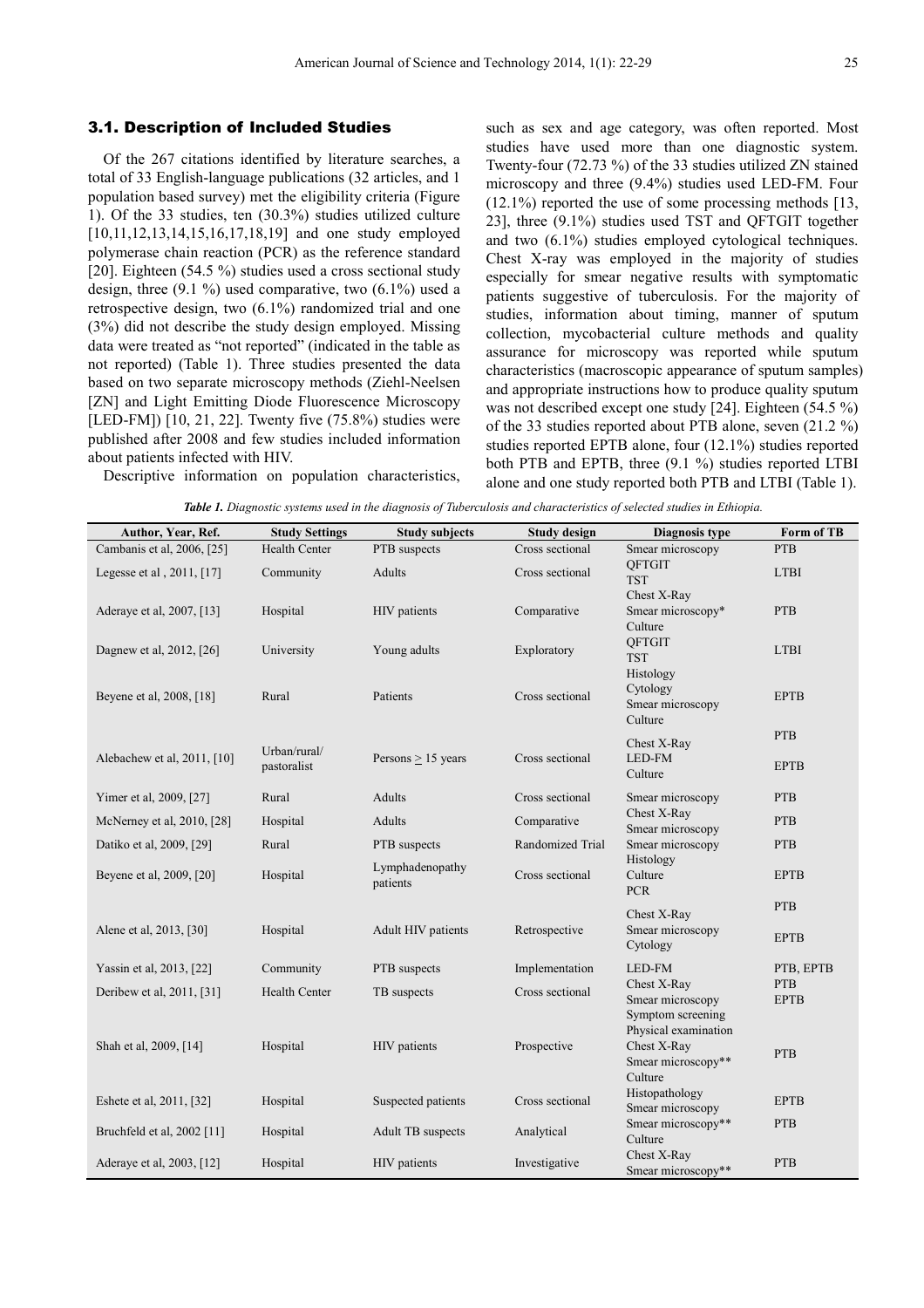#### 3.1. Description of Included Studies

Of the 267 citations identified by literature searches, a total of 33 English-language publications (32 articles, and 1 population based survey) met the eligibility criteria (Figure 1). Of the 33 studies, ten (30.3%) studies utilized culture [10,11,12,13,14,15,16,17,18,19] and one study employed polymerase chain reaction (PCR) as the reference standard [20]. Eighteen (54.5 %) studies used a cross sectional study design, three  $(9.1 \%)$  used comparative, two  $(6.1\%)$  used a retrospective design, two (6.1%) randomized trial and one (3%) did not describe the study design employed. Missing data were treated as "not reported" (indicated in the table as not reported) (Table 1). Three studies presented the data based on two separate microscopy methods (Ziehl-Neelsen [ZN] and Light Emitting Diode Fluorescence Microscopy [LED-FM]) [10, 21, 22]. Twenty five (75.8%) studies were published after 2008 and few studies included information about patients infected with HIV.

such as sex and age category, was often reported. Most studies have used more than one diagnostic system. Twenty-four (72.73 %) of the 33 studies utilized ZN stained microscopy and three (9.4%) studies used LED-FM. Four  $(12.1\%)$  reported the use of some processing methods [13, 23], three (9.1%) studies used TST and QFTGIT together and two (6.1%) studies employed cytological techniques. Chest X-ray was employed in the majority of studies especially for smear negative results with symptomatic patients suggestive of tuberculosis. For the majority of studies, information about timing, manner of sputum collection, mycobacterial culture methods and quality assurance for microscopy was reported while sputum characteristics (macroscopic appearance of sputum samples) and appropriate instructions how to produce quality sputum was not described except one study [24]. Eighteen (54.5 %) of the 33 studies reported about PTB alone, seven (21.2 %) studies reported EPTB alone, four (12.1%) studies reported both PTB and EPTB, three (9.1 %) studies reported LTBI alone and one study reported both PTB and LTBI (Table 1).

Descriptive information on population characteristics,

*Table 1. Diagnostic systems used in the diagnosis of Tuberculosis and characteristics of selected studies in Ethiopia.* 

| Author, Year, Ref.          | <b>Study Settings</b>       | <b>Study subjects</b>       | <b>Study design</b> | <b>Diagnosis type</b>                                                                              | Form of TB                |
|-----------------------------|-----------------------------|-----------------------------|---------------------|----------------------------------------------------------------------------------------------------|---------------------------|
| Cambanis et al, 2006, [25]  | <b>Health Center</b>        | PTB suspects                | Cross sectional     | Smear microscopy                                                                                   | <b>PTB</b>                |
| Legesse et al, 2011, [17]   | Community                   | Adults                      | Cross sectional     | <b>OFTGIT</b><br><b>TST</b>                                                                        | <b>LTBI</b>               |
| Aderaye et al, 2007, [13]   | Hospital                    | HIV patients                | Comparative         | Chest X-Ray<br>Smear microscopy*<br>Culture                                                        | <b>PTB</b>                |
| Dagnew et al, 2012, [26]    | University                  | Young adults                | Exploratory         | QFTGIT<br><b>TST</b>                                                                               | <b>LTBI</b>               |
| Beyene et al, 2008, [18]    | Rural                       | Patients                    | Cross sectional     | Histology<br>Cytology<br>Smear microscopy<br>Culture                                               | <b>EPTB</b>               |
|                             |                             |                             |                     | Chest X-Ray                                                                                        | <b>PTB</b>                |
| Alebachew et al, 2011, [10] | Urban/rural/<br>pastoralist | Persons $\geq$ 15 years     | Cross sectional     | LED-FM<br>Culture                                                                                  | <b>EPTB</b>               |
| Yimer et al, 2009, [27]     | Rural                       | Adults                      | Cross sectional     | Smear microscopy                                                                                   | <b>PTB</b>                |
| McNerney et al, 2010, [28]  | Hospital                    | Adults                      | Comparative         | Chest X-Ray<br>Smear microscopy                                                                    | <b>PTB</b>                |
| Datiko et al, 2009, [29]    | Rural                       | PTB suspects                | Randomized Trial    | Smear microscopy                                                                                   | <b>PTB</b>                |
| Beyene et al, 2009, [20]    | Hospital                    | Lymphadenopathy<br>patients | Cross sectional     | Histology<br>Culture<br><b>PCR</b>                                                                 | <b>EPTB</b>               |
|                             |                             |                             |                     | Chest X-Ray                                                                                        | <b>PTB</b>                |
| Alene et al, 2013, [30]     | Hospital                    | Adult HIV patients          | Retrospective       | Smear microscopy<br>Cytology                                                                       | <b>EPTB</b>               |
| Yassin et al, 2013, [22]    | Community                   | PTB suspects                | Implementation      | LED-FM                                                                                             | PTB, EPTB                 |
| Deribew et al, 2011, [31]   | <b>Health Center</b>        | TB suspects                 | Cross sectional     | Chest X-Ray                                                                                        | <b>PTB</b><br><b>EPTB</b> |
| Shah et al, 2009, [14]      | Hospital                    | HIV patients                | Prospective         | Smear microscopy<br>Symptom screening<br>Physical examination<br>Chest X-Ray<br>Smear microscopy** | <b>PTB</b>                |
| Eshete et al, 2011, [32]    | Hospital                    | Suspected patients          | Cross sectional     | Culture<br>Histopathology                                                                          | <b>EPTB</b>               |
|                             |                             |                             |                     | Smear microscopy<br>Smear microscopy**                                                             | <b>PTB</b>                |
| Bruchfeld et al, 2002 [11]  | Hospital                    | Adult TB suspects           | Analytical          | Culture                                                                                            |                           |
| Aderaye et al, 2003, [12]   | Hospital                    | HIV patients                | Investigative       | Chest X-Ray<br>Smear microscopy**                                                                  | <b>PTB</b>                |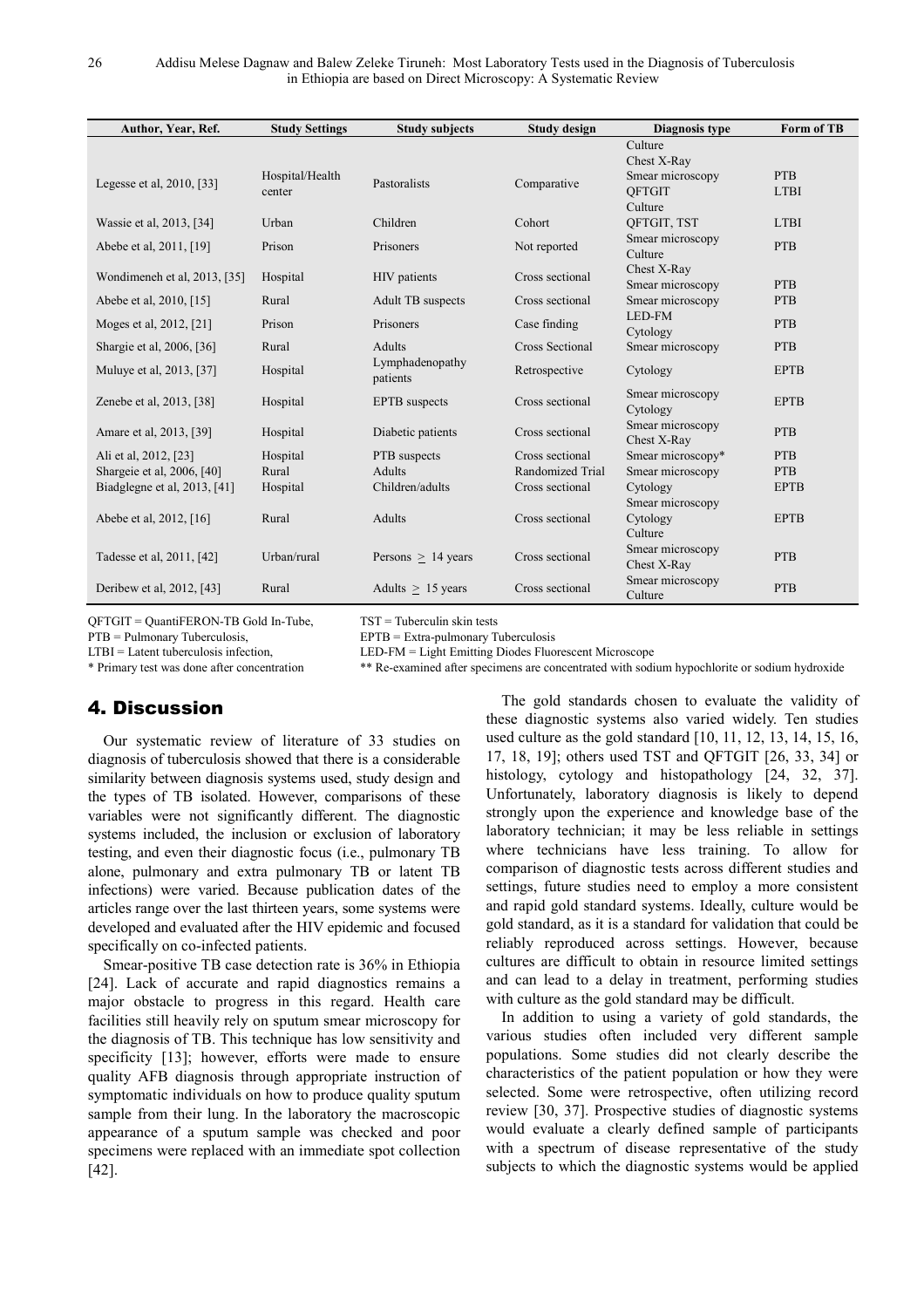| Author, Year, Ref.           | <b>Study Settings</b> | <b>Study subjects</b>       | <b>Study design</b> | Diagnosis type           | Form of TB  |
|------------------------------|-----------------------|-----------------------------|---------------------|--------------------------|-------------|
|                              |                       |                             |                     | Culture                  |             |
|                              |                       |                             |                     | Chest X-Ray              |             |
| Legesse et al. 2010, [33]    | Hospital/Health       | Pastoralists                | Comparative         | Smear microscopy         | <b>PTB</b>  |
|                              | center                |                             |                     | <b>OFTGIT</b><br>Culture | <b>LTBI</b> |
| Wassie et al, 2013, [34]     | Urban                 | Children                    | Cohort              | QFTGIT, TST              | <b>LTBI</b> |
|                              |                       |                             |                     | Smear microscopy         |             |
| Abebe et al, 2011, [19]      | Prison                | Prisoners                   | Not reported        | Culture                  | <b>PTB</b>  |
|                              |                       |                             |                     | Chest X-Ray              |             |
| Wondimeneh et al, 2013, [35] | Hospital              | HIV patients                | Cross sectional     | Smear microscopy         | <b>PTB</b>  |
| Abebe et al, 2010, [15]      | Rural                 | <b>Adult TB</b> suspects    | Cross sectional     | Smear microscopy         | <b>PTB</b>  |
| Moges et al, 2012, [21]      | Prison                | Prisoners                   | Case finding        | LED-FM                   | <b>PTB</b>  |
|                              |                       |                             |                     | Cytology                 |             |
| Shargie et al, 2006, [36]    | Rural                 | Adults                      | Cross Sectional     | Smear microscopy         | <b>PTB</b>  |
| Muluye et al, 2013, [37]     | Hospital              | Lymphadenopathy<br>patients | Retrospective       | Cytology                 | <b>EPTB</b> |
| Zenebe et al. 2013, [38]     | Hospital              | <b>EPTB</b> suspects        | Cross sectional     | Smear microscopy         | <b>EPTB</b> |
|                              |                       |                             |                     | Cytology                 |             |
| Amare et al, 2013, [39]      | Hospital              | Diabetic patients           | Cross sectional     | Smear microscopy         | <b>PTB</b>  |
|                              |                       |                             |                     | Chest X-Ray              |             |
| Ali et al. 2012, [23]        | Hospital              | PTB suspects                | Cross sectional     | Smear microscopy*        | <b>PTB</b>  |
| Shargeie et al, 2006, [40]   | Rural                 | <b>Adults</b>               | Randomized Trial    | Smear microscopy         | <b>PTB</b>  |
| Biadglegne et al, 2013, [41] | Hospital              | Children/adults             | Cross sectional     | Cytology                 | <b>EPTB</b> |
|                              |                       | <b>Adults</b>               | Cross sectional     | Smear microscopy         | <b>EPTB</b> |
| Abebe et al, 2012, [16]      | Rural                 |                             |                     | Cytology<br>Culture      |             |
|                              |                       |                             |                     | Smear microscopy         |             |
| Tadesse et al, 2011, [42]    | Urban/rural           | Persons $> 14$ years        | Cross sectional     | Chest X-Ray              | <b>PTB</b>  |
|                              |                       |                             |                     | Smear microscopy         |             |
| Deribew et al, 2012, [43]    | Rural                 | Adults $\geq$ 15 years      | Cross sectional     | Culture                  | <b>PTB</b>  |

QFTGIT = QuantiFERON-TB Gold In-Tube, TST = Tuberculin skin tests

PTB = Pulmonary Tuberculosis, EPTB = Extra-pulmonary Tuberculosis

LTBI = Latent tuberculosis infection, LED-FM = Light Emitting Diodes Fluorescent Microscope

\* Primary test was done after concentration \*\* Re-examined after specimens are concentrated with sodium hypochlorite or sodium hydroxide

# 4. Discussion

Our systematic review of literature of 33 studies on diagnosis of tuberculosis showed that there is a considerable similarity between diagnosis systems used, study design and the types of TB isolated. However, comparisons of these variables were not significantly different. The diagnostic systems included, the inclusion or exclusion of laboratory testing, and even their diagnostic focus (i.e., pulmonary TB alone, pulmonary and extra pulmonary TB or latent TB infections) were varied. Because publication dates of the articles range over the last thirteen years, some systems were developed and evaluated after the HIV epidemic and focused specifically on co-infected patients.

Smear-positive TB case detection rate is 36% in Ethiopia [24]. Lack of accurate and rapid diagnostics remains a major obstacle to progress in this regard. Health care facilities still heavily rely on sputum smear microscopy for the diagnosis of TB. This technique has low sensitivity and specificity [13]; however, efforts were made to ensure quality AFB diagnosis through appropriate instruction of symptomatic individuals on how to produce quality sputum sample from their lung. In the laboratory the macroscopic appearance of a sputum sample was checked and poor specimens were replaced with an immediate spot collection [42].

The gold standards chosen to evaluate the validity of these diagnostic systems also varied widely. Ten studies used culture as the gold standard [10, 11, 12, 13, 14, 15, 16, 17, 18, 19]; others used TST and QFTGIT [26, 33, 34] or histology, cytology and histopathology [24, 32, 37]. Unfortunately, laboratory diagnosis is likely to depend strongly upon the experience and knowledge base of the laboratory technician; it may be less reliable in settings where technicians have less training. To allow for comparison of diagnostic tests across different studies and settings, future studies need to employ a more consistent and rapid gold standard systems. Ideally, culture would be gold standard, as it is a standard for validation that could be reliably reproduced across settings. However, because cultures are difficult to obtain in resource limited settings and can lead to a delay in treatment, performing studies with culture as the gold standard may be difficult.

In addition to using a variety of gold standards, the various studies often included very different sample populations. Some studies did not clearly describe the characteristics of the patient population or how they were selected. Some were retrospective, often utilizing record review [30, 37]. Prospective studies of diagnostic systems would evaluate a clearly defined sample of participants with a spectrum of disease representative of the study subjects to which the diagnostic systems would be applied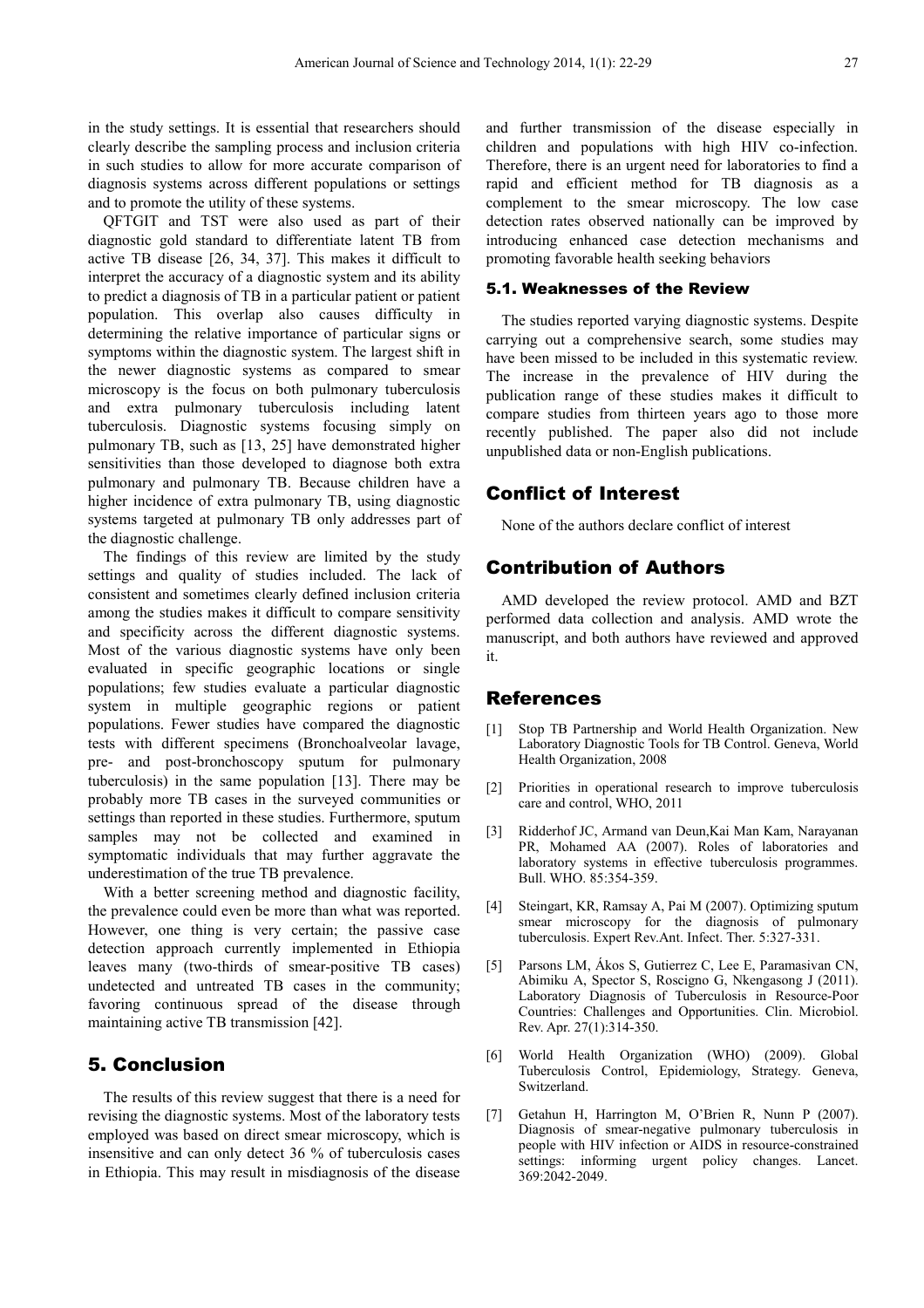in the study settings. It is essential that researchers should clearly describe the sampling process and inclusion criteria in such studies to allow for more accurate comparison of diagnosis systems across different populations or settings and to promote the utility of these systems.

QFTGIT and TST were also used as part of their diagnostic gold standard to differentiate latent TB from active TB disease [26, 34, 37]. This makes it difficult to interpret the accuracy of a diagnostic system and its ability to predict a diagnosis of TB in a particular patient or patient population. This overlap also causes difficulty in determining the relative importance of particular signs or symptoms within the diagnostic system. The largest shift in the newer diagnostic systems as compared to smear microscopy is the focus on both pulmonary tuberculosis and extra pulmonary tuberculosis including latent tuberculosis. Diagnostic systems focusing simply on pulmonary TB, such as [13, 25] have demonstrated higher sensitivities than those developed to diagnose both extra pulmonary and pulmonary TB. Because children have a higher incidence of extra pulmonary TB, using diagnostic systems targeted at pulmonary TB only addresses part of the diagnostic challenge.

The findings of this review are limited by the study settings and quality of studies included. The lack of consistent and sometimes clearly defined inclusion criteria among the studies makes it difficult to compare sensitivity and specificity across the different diagnostic systems. Most of the various diagnostic systems have only been evaluated in specific geographic locations or single populations; few studies evaluate a particular diagnostic system in multiple geographic regions or patient populations. Fewer studies have compared the diagnostic tests with different specimens (Bronchoalveolar lavage, pre- and post-bronchoscopy sputum for pulmonary tuberculosis) in the same population [13]. There may be probably more TB cases in the surveyed communities or settings than reported in these studies. Furthermore, sputum samples may not be collected and examined in symptomatic individuals that may further aggravate the underestimation of the true TB prevalence.

With a better screening method and diagnostic facility, the prevalence could even be more than what was reported. However, one thing is very certain; the passive case detection approach currently implemented in Ethiopia leaves many (two-thirds of smear-positive TB cases) undetected and untreated TB cases in the community; favoring continuous spread of the disease through maintaining active TB transmission [42].

## 5. Conclusion

The results of this review suggest that there is a need for revising the diagnostic systems. Most of the laboratory tests employed was based on direct smear microscopy, which is insensitive and can only detect 36 % of tuberculosis cases in Ethiopia. This may result in misdiagnosis of the disease

and further transmission of the disease especially in children and populations with high HIV co-infection. Therefore, there is an urgent need for laboratories to find a rapid and efficient method for TB diagnosis as a complement to the smear microscopy. The low case detection rates observed nationally can be improved by introducing enhanced case detection mechanisms and promoting favorable health seeking behaviors

#### 5.1. Weaknesses of the Review

The studies reported varying diagnostic systems. Despite carrying out a comprehensive search, some studies may have been missed to be included in this systematic review. The increase in the prevalence of HIV during the publication range of these studies makes it difficult to compare studies from thirteen years ago to those more recently published. The paper also did not include unpublished data or non-English publications.

## Conflict of Interest

None of the authors declare conflict of interest

## Contribution of Authors

AMD developed the review protocol. AMD and BZT performed data collection and analysis. AMD wrote the manuscript, and both authors have reviewed and approved it.

#### References

- [1] Stop TB Partnership and World Health Organization. New Laboratory Diagnostic Tools for TB Control. Geneva, World Health Organization, 2008
- [2] Priorities in operational research to improve tuberculosis care and control, WHO, 2011
- [3] Ridderhof JC, Armand van Deun,Kai Man Kam, Narayanan PR, Mohamed AA (2007). Roles of laboratories and laboratory systems in effective tuberculosis programmes. Bull. WHO. 85:354-359.
- [4] Steingart, KR, Ramsay A, Pai M (2007). Optimizing sputum smear microscopy for the diagnosis of pulmonary tuberculosis. Expert Rev.Ant. Infect. Ther. 5:327-331.
- [5] Parsons LM, Ákos S, Gutierrez C, Lee E, Paramasivan CN, Abimiku A, Spector S, Roscigno G, Nkengasong J (2011). Laboratory Diagnosis of Tuberculosis in Resource-Poor Countries: Challenges and Opportunities. Clin. Microbiol. Rev. Apr. 27(1):314-350.
- [6] World Health Organization (WHO) (2009). Global Tuberculosis Control, Epidemiology, Strategy. Geneva, Switzerland.
- [7] Getahun H, Harrington M, O'Brien R, Nunn P (2007). Diagnosis of smear-negative pulmonary tuberculosis in people with HIV infection or AIDS in resource-constrained settings: informing urgent policy changes. Lancet. 369:2042-2049.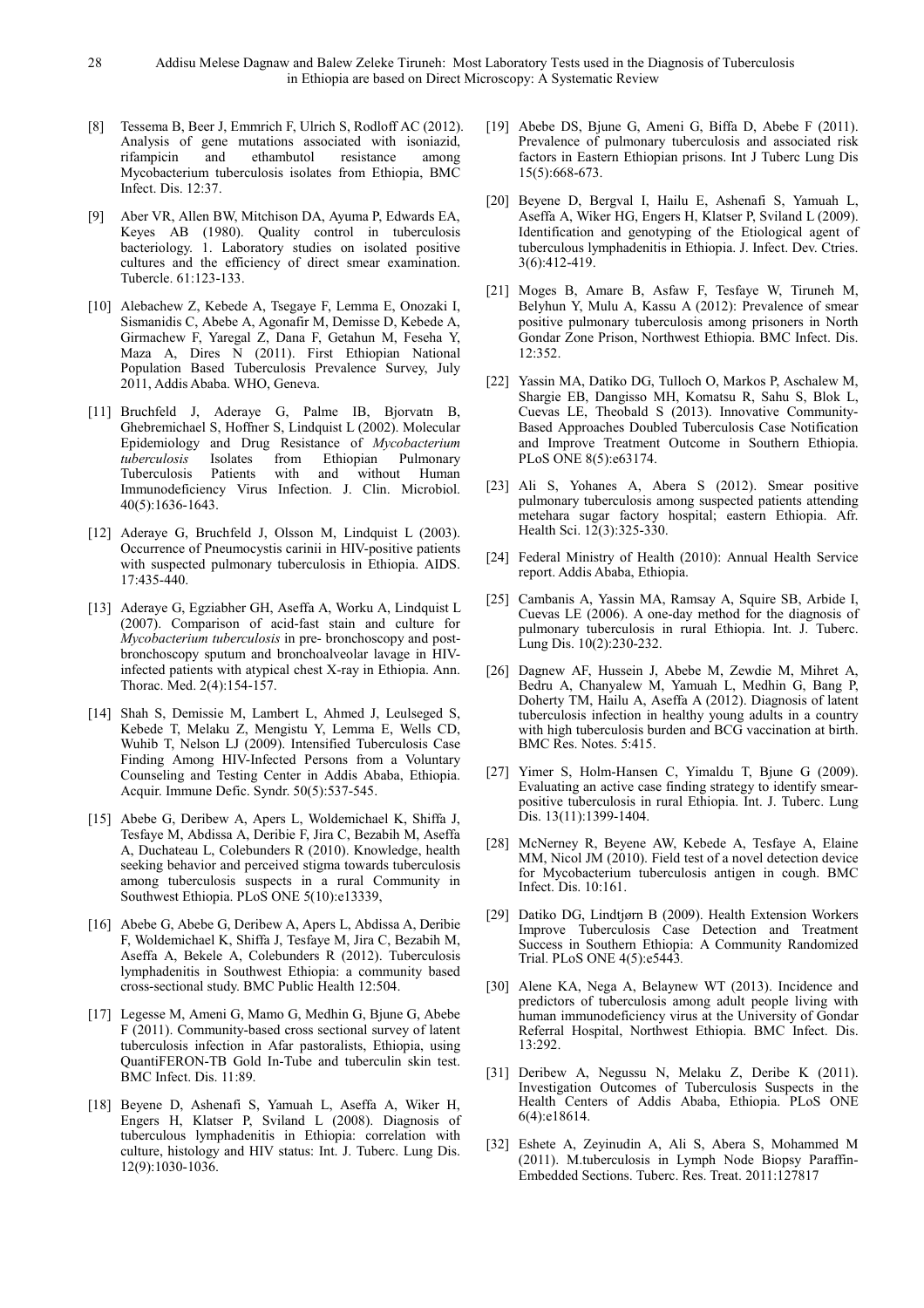- [8] Tessema B, Beer J, Emmrich F, Ulrich S, Rodloff AC (2012). Analysis of gene mutations associated with isoniazid, rifampicin and ethambutol resistance among rifampicin and ethambutol resistance Mycobacterium tuberculosis isolates from Ethiopia, BMC Infect. Dis. 12:37.
- [9] Aber VR, Allen BW, Mitchison DA, Ayuma P, Edwards EA, Keyes AB (1980). Quality control in tuberculosis bacteriology. 1. Laboratory studies on isolated positive cultures and the efficiency of direct smear examination. Tubercle. 61:123-133.
- [10] Alebachew Z, Kebede A, Tsegaye F, Lemma E, Onozaki I, Sismanidis C, Abebe A, Agonafir M, Demisse D, Kebede A, Girmachew F, Yaregal Z, Dana F, Getahun M, Feseha Y, Maza A, Dires N (2011). First Ethiopian National Population Based Tuberculosis Prevalence Survey, July 2011, Addis Ababa. WHO, Geneva.
- [11] Bruchfeld J, Aderaye G, Palme IB, Bjorvatn B, Ghebremichael S, Hoffner S, Lindquist L (2002). Molecular Epidemiology and Drug Resistance of *Mycobacterium tuberculosis* Isolates from Ethiopian Pulmonary Tuberculosis Patients with and without Human Immunodeficiency Virus Infection. J. Clin. Microbiol. 40(5):1636-1643.
- [12] Aderaye G, Bruchfeld J, Olsson M, Lindquist L (2003). Occurrence of Pneumocystis carinii in HIV-positive patients with suspected pulmonary tuberculosis in Ethiopia. AIDS. 17:435-440.
- [13] Aderaye G, Egziabher GH, Aseffa A, Worku A, Lindquist L (2007). Comparison of acid-fast stain and culture for *Mycobacterium tuberculosis* in pre- bronchoscopy and postbronchoscopy sputum and bronchoalveolar lavage in HIVinfected patients with atypical chest X-ray in Ethiopia. Ann. Thorac. Med. 2(4):154-157.
- [14] Shah S, Demissie M, Lambert L, Ahmed J, Leulseged S, Kebede T, Melaku Z, Mengistu Y, Lemma E, Wells CD, Wuhib T, Nelson LJ (2009). Intensified Tuberculosis Case Finding Among HIV-Infected Persons from a Voluntary Counseling and Testing Center in Addis Ababa, Ethiopia. Acquir. Immune Defic. Syndr. 50(5):537-545.
- [15] Abebe G, Deribew A, Apers L, Woldemichael K, Shiffa J, Tesfaye M, Abdissa A, Deribie F, Jira C, Bezabih M, Aseffa A, Duchateau L, Colebunders R (2010). Knowledge, health seeking behavior and perceived stigma towards tuberculosis among tuberculosis suspects in a rural Community in Southwest Ethiopia. PLoS ONE 5(10):e13339,
- [16] Abebe G, Abebe G, Deribew A, Apers L, Abdissa A, Deribie F, Woldemichael K, Shiffa J, Tesfaye M, Jira C, Bezabih M, Aseffa A, Bekele A, Colebunders R (2012). Tuberculosis lymphadenitis in Southwest Ethiopia: a community based cross-sectional study. BMC Public Health 12:504.
- [17] Legesse M, Ameni G, Mamo G, Medhin G, Bjune G, Abebe F (2011). Community-based cross sectional survey of latent tuberculosis infection in Afar pastoralists, Ethiopia, using QuantiFERON-TB Gold In-Tube and tuberculin skin test. BMC Infect. Dis. 11:89.
- [18] Beyene D, Ashenafi S, Yamuah L, Aseffa A, Wiker H, Engers H, Klatser P, Sviland L (2008). Diagnosis of tuberculous lymphadenitis in Ethiopia: correlation with culture, histology and HIV status: Int. J. Tuberc. Lung Dis. 12(9):1030-1036.
- [19] Abebe DS, Bjune G, Ameni G, Biffa D, Abebe F (2011). Prevalence of pulmonary tuberculosis and associated risk factors in Eastern Ethiopian prisons. Int J Tuberc Lung Dis 15(5):668-673.
- [20] Beyene D, Bergval I, Hailu E, Ashenafi S, Yamuah L, Aseffa A, Wiker HG, Engers H, Klatser P, Sviland L (2009). Identification and genotyping of the Etiological agent of tuberculous lymphadenitis in Ethiopia. J. Infect. Dev. Ctries. 3(6):412-419.
- [21] Moges B, Amare B, Asfaw F, Tesfaye W, Tiruneh M, Belyhun Y, Mulu A, Kassu A (2012): Prevalence of smear positive pulmonary tuberculosis among prisoners in North Gondar Zone Prison, Northwest Ethiopia. BMC Infect. Dis. 12:352.
- [22] Yassin MA, Datiko DG, Tulloch O, Markos P, Aschalew M, Shargie EB, Dangisso MH, Komatsu R, Sahu S, Blok L, Cuevas LE, Theobald S (2013). Innovative Community-Based Approaches Doubled Tuberculosis Case Notification and Improve Treatment Outcome in Southern Ethiopia. PLoS ONE 8(5):e63174.
- [23] Ali S, Yohanes A, Abera S (2012). Smear positive pulmonary tuberculosis among suspected patients attending metehara sugar factory hospital; eastern Ethiopia. Afr. Health Sci. 12(3):325-330.
- [24] Federal Ministry of Health (2010): Annual Health Service report. Addis Ababa, Ethiopia.
- [25] Cambanis A, Yassin MA, Ramsay A, Squire SB, Arbide I, Cuevas LE (2006). A one-day method for the diagnosis of pulmonary tuberculosis in rural Ethiopia. Int. J. Tuberc. Lung Dis. 10(2):230-232.
- [26] Dagnew AF, Hussein J, Abebe M, Zewdie M, Mihret A, Bedru A, Chanyalew M, Yamuah L, Medhin G, Bang P, Doherty TM, Hailu A, Aseffa A (2012). Diagnosis of latent tuberculosis infection in healthy young adults in a country with high tuberculosis burden and BCG vaccination at birth. BMC Res. Notes. 5:415.
- [27] Yimer S, Holm-Hansen C, Yimaldu T, Bjune G (2009). Evaluating an active case finding strategy to identify smearpositive tuberculosis in rural Ethiopia. Int. J. Tuberc. Lung Dis. 13(11):1399-1404.
- [28] McNerney R, Beyene AW, Kebede A, Tesfaye A, Elaine MM, Nicol JM (2010). Field test of a novel detection device for Mycobacterium tuberculosis antigen in cough. BMC Infect. Dis. 10:161.
- [29] Datiko DG, Lindtjørn B (2009). Health Extension Workers Improve Tuberculosis Case Detection and Treatment Success in Southern Ethiopia: A Community Randomized Trial. PLoS ONE 4(5):e5443*.*
- [30] Alene KA, Nega A, Belaynew WT (2013). Incidence and predictors of tuberculosis among adult people living with human immunodeficiency virus at the University of Gondar Referral Hospital, Northwest Ethiopia. BMC Infect. Dis. 13:292.
- [31] Deribew A, Negussu N, Melaku Z, Deribe K (2011). Investigation Outcomes of Tuberculosis Suspects in the Health Centers of Addis Ababa, Ethiopia. PLoS ONE 6(4):e18614.
- [32] Eshete A, Zeyinudin A, Ali S, Abera S, Mohammed M (2011). M.tuberculosis in Lymph Node Biopsy Paraffin-Embedded Sections. Tuberc. Res. Treat. 2011:127817